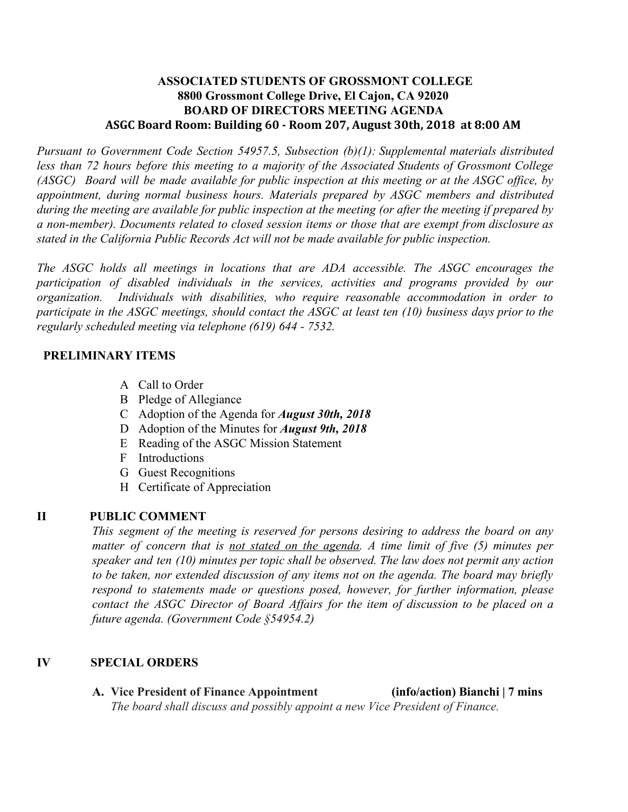## **ASSOCIATED STUDENTS OF GROSSMONT COLLEGE 8800 Grossmont College Drive, El Cajon, CA 92020 BOARD OF DIRECTORS MEETING AGENDA ASGC Board Room: Building 60 - Room 207, August 30th, 2018 at 8:00 AM**

*Pursuant to Government Code Section 54957.5, Subsection (b)(1): Supplemental materials distributed less than 72 hours before this meeting to a majority of the Associated Students of Grossmont College* (ASGC) Board will be made available for public inspection at this meeting or at the ASGC office, by *appointment, during normal business hours. Materials prepared by ASGC members and distributed* during the meeting are available for public inspection at the meeting (or after the meeting if prepared by *a non-member). Documents related to closed session items or those that are exempt from disclosure as stated in the California Public Records Act will not be made available for public inspection.* 

*The ASGC holds all meetings in locations that are ADA accessible. The ASGC encourages the participation of disabled individuals in the services, activities and programs provided by our organization. Individuals with disabilities, who require reasonable accommodation in order to* participate in the ASGC meetings, should contact the ASGC at least ten  $(10)$  business days prior to the *regularly scheduled meeting via telephone (619) 644 - 7532.*

## **PRELIMINARY ITEMS**

- A Call to Order
- B Pledge of Allegiance
- C Adoption of the Agenda for *August 30th, 2018*
- D Adoption of the Minutes for *August 9th, 2018*
- E Reading of the ASGC Mission Statement
- F Introductions
- G Guest Recognitions
- H Certificate of Appreciation

## **II PUBLIC COMMENT**

*This segment of the meeting is reserved for persons desiring to address the board on any matter of concern that is not stated on the agenda. A time limit of five (5) minutes per speaker and ten (10) minutes per topic shall be observed. The law does not permit any action to be taken, nor extended discussion of any items not on the agenda. The board may briefly respond to statements made or questions posed, however, for further information, please contact the ASGC Director of Board Affairs for the item of discussion to be placed on a future agenda. (Government Code §54954.2)*

## **IV SPECIAL ORDERS**

**A. Vice President of Finance Appointment (info/action) Bianchi | 7 mins** *The board shall discuss and possibly appoint a new Vice President of Finance.*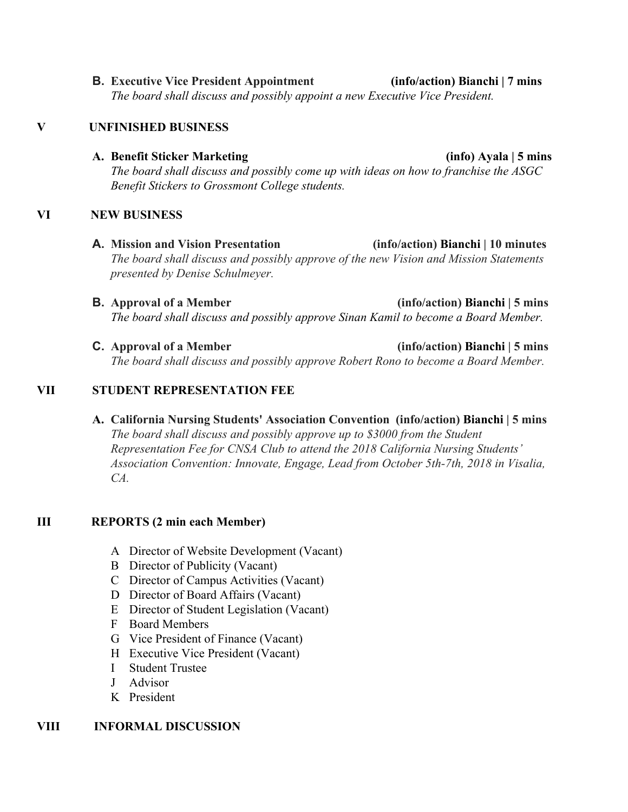**B. Executive Vice President Appointment (info/action) Bianchi | 7 mins** *The board shall discuss and possibly appoint a new Executive Vice President.*

## **V UNFINISHED BUSINESS**

#### **A. Benefit Sticker Marketing (info) Ayala | 5 mins**

*The board shall discuss and possibly come up with ideas on how to franchise the ASGC Benefit Stickers to Grossmont College students.*

## **VI NEW BUSINESS**

- **A. Mission and Vision Presentation (info/action) Bianchi | 10 minutes** *The board shall discuss and possibly approve of the new Vision and Mission Statements presented by Denise Schulmeyer.*
- **B. Approval of a Member (info/action) Bianchi | 5 mins** *The board shall discuss and possibly approve Sinan Kamil to become a Board Member.*
- **C. Approval of a Member (info/action) Bianchi | 5 mins** *The board shall discuss and possibly approve Robert Rono to become a Board Member.*

## **VII STUDENT REPRESENTATION FEE**

**A. California Nursing Students' Association Convention (info/action) Bianchi | 5 mins** *The board shall discuss and possibly approve up to \$3000 from the Student Representation Fee for CNSA Club to attend the 2018 California Nursing Students' Association Convention: Innovate, Engage, Lead from October 5th-7th, 2018 in Visalia, CA.*

# **III REPORTS (2 min each Member)**

- A Director of Website Development (Vacant)
- B Director of Publicity (Vacant)
- C Director of Campus Activities (Vacant)
- D Director of Board Affairs (Vacant)
- E Director of Student Legislation (Vacant)
- F Board Members
- G Vice President of Finance (Vacant)
- H Executive Vice President (Vacant)
- I Student Trustee
- J Advisor
- K President

## **VIII INFORMAL DISCUSSION**